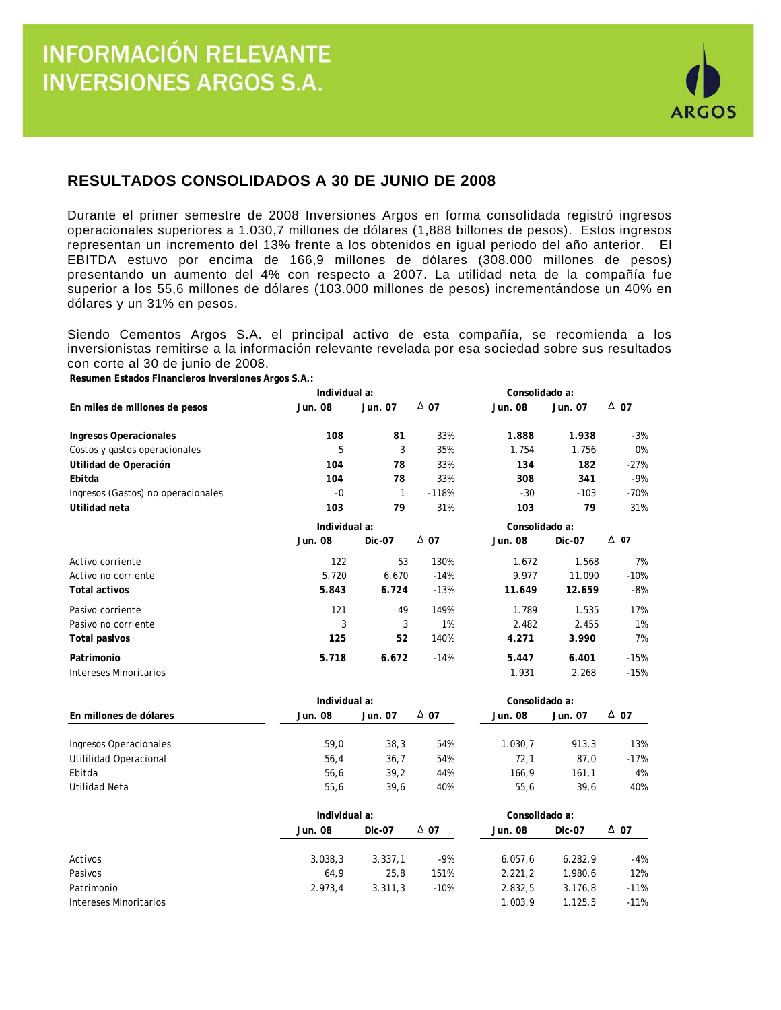

## **RESULTADOS CONSOLIDADOS A 30 DE JUNIO DE 2008**

Durante el primer semestre de 2008 Inversiones Argos en forma consolidada registró ingresos operacionales superiores a 1.030,7 millones de dólares (1,888 billones de pesos). Estos ingresos representan un incremento del 13% frente a los obtenidos en igual periodo del año anterior. El EBITDA estuvo por encima de 166,9 millones de dólares (308.000 millones de pesos) presentando un aumento del 4% con respecto a 2007. La utilidad neta de la compañía fue superior a los 55,6 millones de dólares (103.000 millones de pesos) incrementándose un 40% en dólares y un 31% en pesos.

Siendo Cementos Argos S.A. el principal activo de esta compañía, se recomienda a los inversionistas remitirse a la información relevante revelada por esa sociedad sobre sus resultados con corte al 30 de junio de 2008.

**Resumen Estados Financieros Inversiones Argos S.A.:**

|                                    | Individual a: |               |             | Consolidado a: |                |             |  |
|------------------------------------|---------------|---------------|-------------|----------------|----------------|-------------|--|
| En miles de millones de pesos      | Jun. 08       | Jun. 07       | $\Delta$ 07 | Jun. 08        | Jun. 07        | $\Delta$ 07 |  |
| Ingresos Operacionales             | 108           | 81            | 33%         | 1.888          | 1.938          | $-3%$       |  |
| Costos y gastos operacionales      | 5             | 3             | 35%         | 1.754          | 1.756          | 0%          |  |
| Utilidad de Operación              | 104           | 78            | 33%         | 134            | 182            | $-27%$      |  |
| Ebitda                             | 104           | 78            | 33%         | 308            | 341            | $-9%$       |  |
| Ingresos (Gastos) no operacionales | $-0$          | 1             | $-118%$     | $-30$          | $-103$         | $-70%$      |  |
| Utilidad neta                      | 103           | 79            | 31%         | 103            | 79             | 31%         |  |
|                                    |               | Individual a: |             |                | Consolidado a: |             |  |
|                                    | Jun. 08       | Dic-07        | $\Delta$ 07 | Jun. 08        | Dic-07         | $\Delta$ 07 |  |
| Activo corriente                   | 122           | 53            | 130%        | 1.672          | 1.568          | 7%          |  |
| Activo no corriente                | 5.720         | 6.670         | $-14%$      | 9.977          | 11.090         | $-10%$      |  |
| <b>Total activos</b>               | 5.843         | 6.724         | $-13%$      | 11.649         | 12.659         | $-8%$       |  |
| Pasivo corriente                   | 121           | 49            | 149%        | 1.789          | 1.535          | 17%         |  |
| Pasivo no corriente                | 3             | 3             | 1%          | 2.482          | 2.455          | 1%          |  |
| Total pasivos                      | 125           | 52            | 140%        | 4.271          | 3.990          | 7%          |  |
| Patrimonio                         | 5.718         | 6.672         | $-14%$      | 5.447          | 6.401          | $-15%$      |  |
| Intereses Minoritarios             |               |               |             | 1.931          | 2.268          | $-15%$      |  |
|                                    | Individual a: |               |             | Consolidado a: |                |             |  |
| En millones de dólares             | Jun. 08       | Jun. 07       | $\Delta$ 07 | Jun. 08        | Jun. 07        | $\Delta$ 07 |  |

| Ingresos Operacionales | 59.0 | 38.3 | 54% | 1.030.7 | 913.3 | 13%  |
|------------------------|------|------|-----|---------|-------|------|
| Utililidad Operacional | 56.4 | 36.7 | 54% | 72.1    | 87.0  | -17% |
| Ebitda                 | 56.6 | 39.2 | 44% | 166.9   | 161.1 | 4%   |
| Utilidad Neta          | 55.6 | 39.6 | 40% | 55.6    | 39.6  | 40%  |

|                        |         | Individual a: |             |         |               |        |  |
|------------------------|---------|---------------|-------------|---------|---------------|--------|--|
|                        | Jun. 08 | <b>Dic-07</b> | $\Delta$ 07 | Jun. 08 | <b>Dic-07</b> | Δ 07   |  |
| Activos                | 3.038.3 | 3.337.1       | $-9%$       | 6.057.6 | 6.282.9       | $-4%$  |  |
| Pasivos                | 64.9    | 25.8          | 151%        | 2.221.2 | 1.980.6       | 12%    |  |
| Patrimonio             | 2.973.4 | 3.311.3       | $-10%$      | 2.832,5 | 3.176.8       | $-11%$ |  |
| Intereses Minoritarios |         |               |             | 1.003.9 | 1.125.5       | $-11%$ |  |